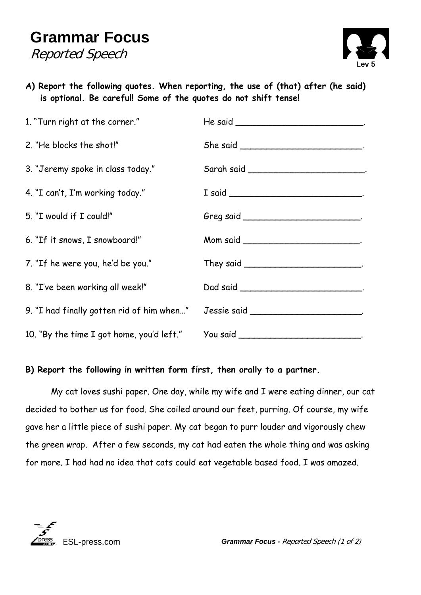## **Grammar Focus**  Reported Speech



**A) Report the following quotes. When reporting, the use of (that) after (he said) is optional. Be careful! Some of the quotes do not shift tense!** 

| 1. "Turn right at the corner."                                                | He said $\frac{1}{1}$                      |
|-------------------------------------------------------------------------------|--------------------------------------------|
| 2. "He blocks the shot!"                                                      |                                            |
| 3. "Jeremy spoke in class today."                                             |                                            |
| 4. "I can't, I'm working today."                                              |                                            |
| 5. "I would if I could!"                                                      |                                            |
| 6. "If it snows, I snowboard!"                                                |                                            |
| 7. "If he were you, he'd be you."                                             |                                            |
| 8. "I've been working all week!"                                              |                                            |
| 9. "I had finally gotten rid of him when" Jessie said _______________________ |                                            |
| 10. "By the time I got home, you'd left."                                     | You said _________________________________ |

## **B) Report the following in written form first, then orally to a partner.**

 My cat loves sushi paper. One day, while my wife and I were eating dinner, our cat decided to bother us for food. She coiled around our feet, purring. Of course, my wife gave her a little piece of sushi paper. My cat began to purr louder and vigorously chew the green wrap. After a few seconds, my cat had eaten the whole thing and was asking for more. I had had no idea that cats could eat vegetable based food. I was amazed.



ESL-press.com *Grammar Focus -* Reported Speech (1 of 2)